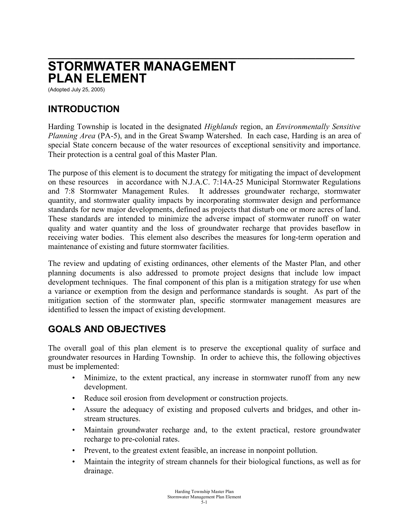# **\_\_\_\_\_\_\_\_\_\_\_\_\_\_\_\_\_\_\_\_\_\_\_\_\_\_\_\_\_\_\_\_\_\_\_\_\_\_\_\_\_\_\_\_\_\_\_\_\_\_\_\_\_\_\_ STORMWATER MANAGEMENT PLAN ELEMENT**

(Adopted July 25, 2005)

## **INTRODUCTION**

Harding Township is located in the designated *Highlands* region, an *Environmentally Sensitive Planning Area* (PA-5), and in the Great Swamp Watershed. In each case, Harding is an area of special State concern because of the water resources of exceptional sensitivity and importance. Their protection is a central goal of this Master Plan.

The purpose of this element is to document the strategy for mitigating the impact of development on these resources in accordance with N.J.A.C. 7:14A-25 Municipal Stormwater Regulations and 7:8 Stormwater Management Rules. It addresses groundwater recharge, stormwater quantity, and stormwater quality impacts by incorporating stormwater design and performance standards for new major developments, defined as projects that disturb one or more acres of land. These standards are intended to minimize the adverse impact of stormwater runoff on water quality and water quantity and the loss of groundwater recharge that provides baseflow in receiving water bodies. This element also describes the measures for long-term operation and maintenance of existing and future stormwater facilities.

The review and updating of existing ordinances, other elements of the Master Plan, and other planning documents is also addressed to promote project designs that include low impact development techniques. The final component of this plan is a mitigation strategy for use when a variance or exemption from the design and performance standards is sought. As part of the mitigation section of the stormwater plan, specific stormwater management measures are identified to lessen the impact of existing development.

#### **GOALS AND OBJECTIVES**

The overall goal of this plan element is to preserve the exceptional quality of surface and groundwater resources in Harding Township. In order to achieve this, the following objectives must be implemented:

- Minimize, to the extent practical, any increase in stormwater runoff from any new development.
- Reduce soil erosion from development or construction projects.
- Assure the adequacy of existing and proposed culverts and bridges, and other instream structures.
- Maintain groundwater recharge and, to the extent practical, restore groundwater recharge to pre-colonial rates.
- Prevent, to the greatest extent feasible, an increase in nonpoint pollution.
- Maintain the integrity of stream channels for their biological functions, as well as for drainage.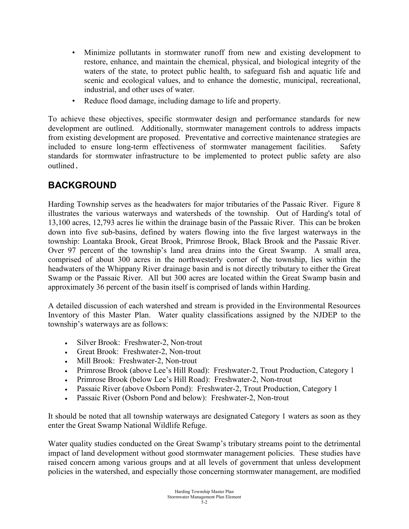- Minimize pollutants in stormwater runoff from new and existing development to restore, enhance, and maintain the chemical, physical, and biological integrity of the waters of the state, to protect public health, to safeguard fish and aquatic life and scenic and ecological values, and to enhance the domestic, municipal, recreational, industrial, and other uses of water.
- Reduce flood damage, including damage to life and property.

To achieve these objectives, specific stormwater design and performance standards for new development are outlined. Additionally, stormwater management controls to address impacts from existing development are proposed. Preventative and corrective maintenance strategies are included to ensure long-term effectiveness of stormwater management facilities. Safety standards for stormwater infrastructure to be implemented to protect public safety are also outlined.

# **BACKGROUND**

Harding Township serves as the headwaters for major tributaries of the Passaic River. Figure 8 illustrates the various waterways and watersheds of the township. Out of Harding's total of 13,100 acres, 12,793 acres lie within the drainage basin of the Passaic River. This can be broken down into five sub-basins, defined by waters flowing into the five largest waterways in the township: Loantaka Brook, Great Brook, Primrose Brook, Black Brook and the Passaic River. Over 97 percent of the township's land area drains into the Great Swamp. A small area, comprised of about 300 acres in the northwesterly corner of the township, lies within the headwaters of the Whippany River drainage basin and is not directly tributary to either the Great Swamp or the Passaic River. All but 300 acres are located within the Great Swamp basin and approximately 36 percent of the basin itself is comprised of lands within Harding.

A detailed discussion of each watershed and stream is provided in the Environmental Resources Inventory of this Master Plan. Water quality classifications assigned by the NJDEP to the township's waterways are as follows:

- Silver Brook: Freshwater-2, Non-trout
- Great Brook: Freshwater-2, Non-trout
- Mill Brook: Freshwater-2, Non-trout
- Primrose Brook (above Lee's Hill Road): Freshwater-2, Trout Production, Category 1
- Primrose Brook (below Lee's Hill Road): Freshwater-2, Non-trout
- Passaic River (above Osborn Pond): Freshwater-2, Trout Production, Category 1
- Passaic River (Osborn Pond and below): Freshwater-2, Non-trout

It should be noted that all township waterways are designated Category 1 waters as soon as they enter the Great Swamp National Wildlife Refuge.

Water quality studies conducted on the Great Swamp's tributary streams point to the detrimental impact of land development without good stormwater management policies. These studies have raised concern among various groups and at all levels of government that unless development policies in the watershed, and especially those concerning stormwater management, are modified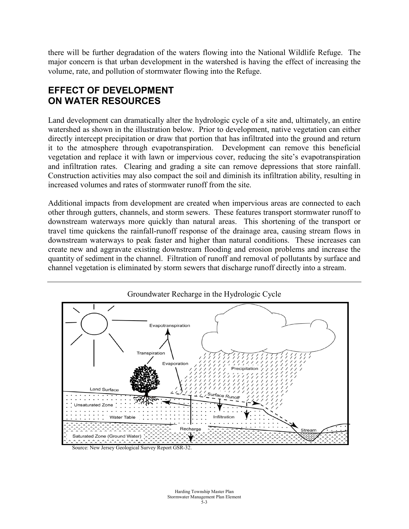there will be further degradation of the waters flowing into the National Wildlife Refuge. The major concern is that urban development in the watershed is having the effect of increasing the volume, rate, and pollution of stormwater flowing into the Refuge.

## **EFFECT OF DEVELOPMENT ON WATER RESOURCES**

Land development can dramatically alter the hydrologic cycle of a site and, ultimately, an entire watershed as shown in the illustration below. Prior to development, native vegetation can either directly intercept precipitation or draw that portion that has infiltrated into the ground and return it to the atmosphere through evapotranspiration. Development can remove this beneficial vegetation and replace it with lawn or impervious cover, reducing the site's evapotranspiration and infiltration rates. Clearing and grading a site can remove depressions that store rainfall. Construction activities may also compact the soil and diminish its infiltration ability, resulting in increased volumes and rates of stormwater runoff from the site.

Additional impacts from development are created when impervious areas are connected to each other through gutters, channels, and storm sewers. These features transport stormwater runoff to downstream waterways more quickly than natural areas. This shortening of the transport or travel time quickens the rainfall-runoff response of the drainage area, causing stream flows in downstream waterways to peak faster and higher than natural conditions. These increases can create new and aggravate existing downstream flooding and erosion problems and increase the quantity of sediment in the channel. Filtration of runoff and removal of pollutants by surface and channel vegetation is eliminated by storm sewers that discharge runoff directly into a stream.

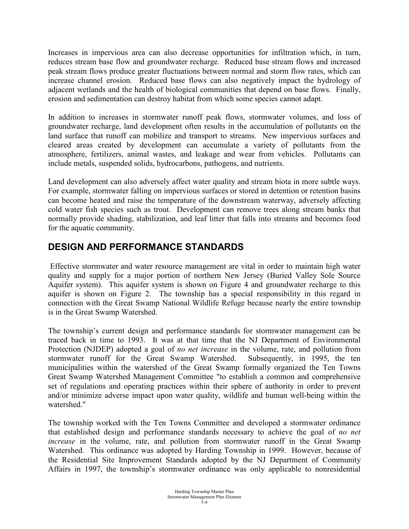Increases in impervious area can also decrease opportunities for infiltration which, in turn, reduces stream base flow and groundwater recharge. Reduced base stream flows and increased peak stream flows produce greater fluctuations between normal and storm flow rates, which can increase channel erosion. Reduced base flows can also negatively impact the hydrology of adjacent wetlands and the health of biological communities that depend on base flows. Finally, erosion and sedimentation can destroy habitat from which some species cannot adapt.

In addition to increases in stormwater runoff peak flows, stormwater volumes, and loss of groundwater recharge, land development often results in the accumulation of pollutants on the land surface that runoff can mobilize and transport to streams. New impervious surfaces and cleared areas created by development can accumulate a variety of pollutants from the atmosphere, fertilizers, animal wastes, and leakage and wear from vehicles. Pollutants can include metals, suspended solids, hydrocarbons, pathogens, and nutrients.

Land development can also adversely affect water quality and stream biota in more subtle ways. For example, stormwater falling on impervious surfaces or stored in detention or retention basins can become heated and raise the temperature of the downstream waterway, adversely affecting cold water fish species such as trout. Development can remove trees along stream banks that normally provide shading, stabilization, and leaf litter that falls into streams and becomes food for the aquatic community.

## **DESIGN AND PERFORMANCE STANDARDS**

Effective stormwater and water resource management are vital in order to maintain high water quality and supply for a major portion of northern New Jersey (Buried Valley Sole Source Aquifer system). This aquifer system is shown on Figure 4 and groundwater recharge to this aquifer is shown on Figure 2. The township has a special responsibility in this regard in connection with the Great Swamp National Wildlife Refuge because nearly the entire township is in the Great Swamp Watershed.

The township's current design and performance standards for stormwater management can be traced back in time to 1993. It was at that time that the NJ Department of Environmental Protection (NJDEP) adopted a goal of *no net increase* in the volume, rate, and pollution from stormwater runoff for the Great Swamp Watershed. Subsequently, in 1995, the ten municipalities within the watershed of the Great Swamp formally organized the Ten Towns Great Swamp Watershed Management Committee "to establish a common and comprehensive set of regulations and operating practices within their sphere of authority in order to prevent and/or minimize adverse impact upon water quality, wildlife and human well-being within the watershed."

The township worked with the Ten Towns Committee and developed a stormwater ordinance that established design and performance standards necessary to achieve the goal of *no net increase* in the volume, rate, and pollution from stormwater runoff in the Great Swamp Watershed. This ordinance was adopted by Harding Township in 1999. However, because of the Residential Site Improvement Standards adopted by the NJ Department of Community Affairs in 1997, the township's stormwater ordinance was only applicable to nonresidential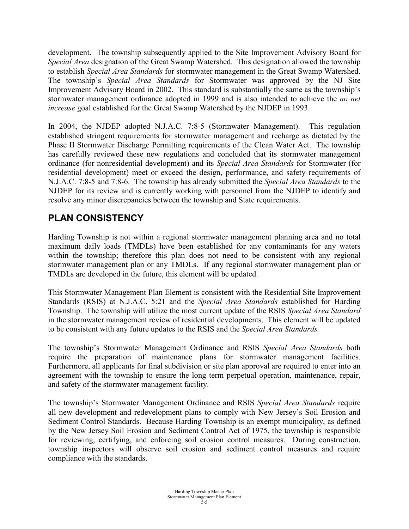development. The township subsequently applied to the Site Improvement Advisory Board for *Special Area* designation of the Great Swamp Watershed. This designation allowed the township to establish *Special Area Standards* for stormwater management in the Great Swamp Watershed. The township's *Special Area Standards* for Stormwater was approved by the NJ Site Improvement Advisory Board in 2002. This standard is substantially the same as the township's stormwater management ordinance adopted in 1999 and is also intended to achieve the *no net increase* goal established for the Great Swamp Watershed by the NJDEP in 1993.

In 2004, the NJDEP adopted N.J.A.C. 7:8-5 (Stormwater Management). This regulation established stringent requirements for stormwater management and recharge as dictated by the Phase II Stormwater Discharge Permitting requirements of the Clean Water Act. The township has carefully reviewed these new regulations and concluded that its stormwater management ordinance (for nonresidential development) and its *Special Area Standards* for Stormwater (for residential development) meet or exceed the design, performance, and safety requirements of N.J.A.C. 7:8-5 and 7:8-6. The township has already submitted the *Special Area Standards* to the NJDEP for its review and is currently working with personnel from the NJDEP to identify and resolve any minor discrepancies between the township and State requirements.

# **PLAN CONSISTENCY**

Harding Township is not within a regional stormwater management planning area and no total maximum daily loads (TMDLs) have been established for any contaminants for any waters within the township; therefore this plan does not need to be consistent with any regional stormwater management plan or any TMDLs. If any regional stormwater management plan or TMDLs are developed in the future, this element will be updated.

This Stormwater Management Plan Element is consistent with the Residential Site Improvement Standards (RSIS) at N.J.A.C. 5:21 and the *Special Area Standards* established for Harding Township. The township will utilize the most current update of the RSIS *Special Area Standard* in the stormwater management review of residential developments. This element will be updated to be consistent with any future updates to the RSIS and the *Special Area Standards.*

The township's Stormwater Management Ordinance and RSIS *Special Area Standards* both require the preparation of maintenance plans for stormwater management facilities. Furthermore, all applicants for final subdivision or site plan approval are required to enter into an agreement with the township to ensure the long term perpetual operation, maintenance, repair, and safety of the stormwater management facility.

The township's Stormwater Management Ordinance and RSIS *Special Area Standards* require all new development and redevelopment plans to comply with New Jersey's Soil Erosion and Sediment Control Standards. Because Harding Township is an exempt municipality, as defined by the New Jersey Soil Erosion and Sediment Control Act of 1975, the township is responsible for reviewing, certifying, and enforcing soil erosion control measures. During construction, township inspectors will observe soil erosion and sediment control measures and require compliance with the standards.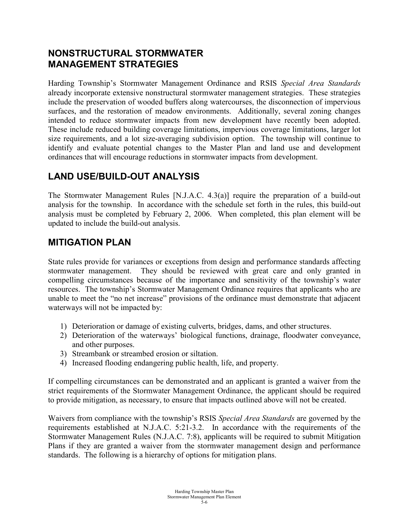#### **NONSTRUCTURAL STORMWATER MANAGEMENT STRATEGIES**

Harding Township's Stormwater Management Ordinance and RSIS *Special Area Standards* already incorporate extensive nonstructural stormwater management strategies. These strategies include the preservation of wooded buffers along watercourses, the disconnection of impervious surfaces, and the restoration of meadow environments. Additionally, several zoning changes intended to reduce stormwater impacts from new development have recently been adopted. These include reduced building coverage limitations, impervious coverage limitations, larger lot size requirements, and a lot size-averaging subdivision option. The township will continue to identify and evaluate potential changes to the Master Plan and land use and development ordinances that will encourage reductions in stormwater impacts from development.

# **LAND USE/BUILD-OUT ANALYSIS**

The Stormwater Management Rules [N.J.A.C. 4.3(a)] require the preparation of a build-out analysis for the township. In accordance with the schedule set forth in the rules, this build-out analysis must be completed by February 2, 2006. When completed, this plan element will be updated to include the build-out analysis.

#### **MITIGATION PLAN**

State rules provide for variances or exceptions from design and performance standards affecting stormwater management. They should be reviewed with great care and only granted in compelling circumstances because of the importance and sensitivity of the township's water resources. The township's Stormwater Management Ordinance requires that applicants who are unable to meet the "no net increase" provisions of the ordinance must demonstrate that adjacent waterways will not be impacted by:

- 1) Deterioration or damage of existing culverts, bridges, dams, and other structures.
- 2) Deterioration of the waterways' biological functions, drainage, floodwater conveyance, and other purposes.
- 3) Streambank or streambed erosion or siltation.
- 4) Increased flooding endangering public health, life, and property.

If compelling circumstances can be demonstrated and an applicant is granted a waiver from the strict requirements of the Stormwater Management Ordinance, the applicant should be required to provide mitigation, as necessary, to ensure that impacts outlined above will not be created.

Waivers from compliance with the township's RSIS *Special Area Standards* are governed by the requirements established at N.J.A.C. 5:21-3.2. In accordance with the requirements of the Stormwater Management Rules (N.J.A.C. 7:8), applicants will be required to submit Mitigation Plans if they are granted a waiver from the stormwater management design and performance standards. The following is a hierarchy of options for mitigation plans.